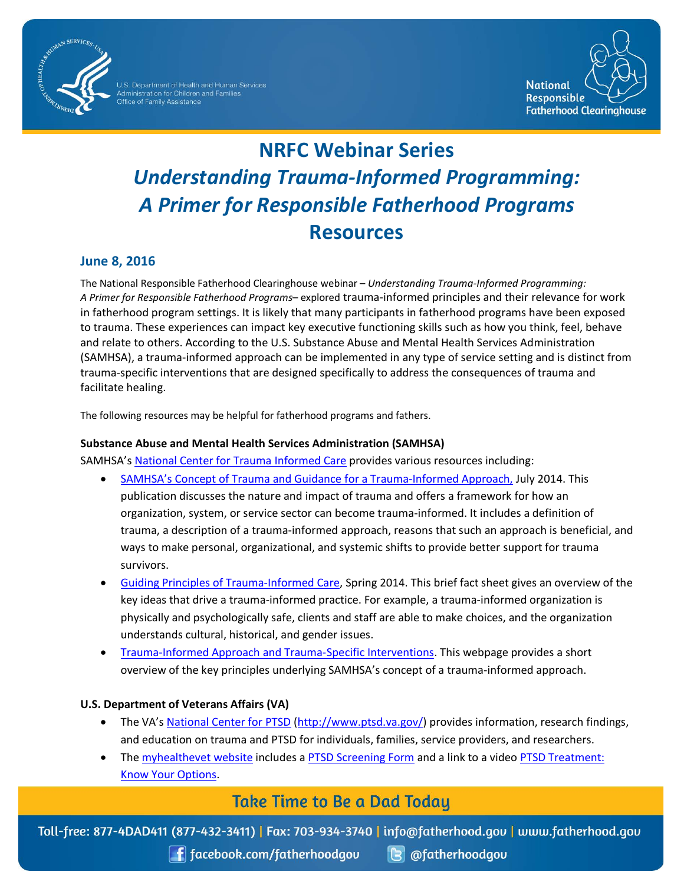

U.S. Department of Health and Human Services<br>Administration for Children and Families<br>Office of Family Assistance



# **NRFC Webinar Series** *Understanding Trauma-Informed Programming: A Primer for Responsible Fatherhood Programs* **Resources**

## **June 8, 2016**

The National Responsible Fatherhood Clearinghouse webinar – *Understanding Trauma-Informed Programming: A Primer for Responsible Fatherhood Programs*– explored trauma-informed principles and their relevance for work in fatherhood program settings. It is likely that many participants in fatherhood programs have been exposed to trauma. These experiences can impact key executive functioning skills such as how you think, feel, behave and relate to others. According to the U.S. Substance Abuse and Mental Health Services Administration (SAMHSA), a trauma-informed approach can be implemented in any type of service setting and is distinct from trauma-specific interventions that are designed specifically to address the consequences of trauma and facilitate healing.

The following resources may be helpful for fatherhood programs and fathers.

#### **Substance Abuse and Mental Health Services Administration (SAMHSA)**

SAMHSA'[s National Center for Trauma Informed Care](http://www.samhsa.gov/nctic) provides various resources including:

- [SAMHSA's Concept of Trauma and Guidance for a Trauma-Informed Approach,](http://store.samhsa.gov/product/SAMHSA-s-Concept-of-Trauma-and-Guidance-for-a-Trauma-Informed-Approach/SMA14-4884?WT.mc_id=EB_20141022_SMA14-4884) July 2014. This publication discusses the nature and impact of trauma and offers a framework for how an organization, system, or service sector can become trauma-informed. It includes a definition of trauma, a description of a trauma-informed approach, reasons that such an approach is beneficial, and ways to make personal, organizational, and systemic shifts to provide better support for trauma survivors.
- Guiding Principles [of Trauma-Informed Care,](http://www.samhsa.gov/samhsaNewsLetter/Volume_22_Number_2/trauma_tip/guiding_principles.html) Spring 2014. This brief fact sheet gives an overview of the key ideas that drive a trauma-informed practice. For example, a trauma-informed organization is physically and psychologically safe, clients and staff are able to make choices, and the organization understands cultural, historical, and gender issues.
- [Trauma-Informed Approach and Trauma-Specific Interventions.](http://www.samhsa.gov/nctic/trauma-interventions) This webpage provides a short overview of the key principles underlying SAMHSA's concept of a trauma-informed approach.

### **U.S. Department of Veterans Affairs (VA)**

- The VA's [National Center for PTSD \(http://www.ptsd.va.gov/\)](http://www.ptsd.va.gov/) provides information, research findings, and education on trauma and PTSD for individuals, families, service providers, and researchers.
- The [myhealthevet website](https://www.myhealthevet.va.gov/) includes a [PTSD Screening Form](https://www.myhealthevet.va.gov/mhv-portal-web/anonymous.portal?_nfpb=true&_pageLabel=mentalHealth&contentPage=mh_screening_tools/PTSD_SCREENING.HTML#noJavascript) and a link to a video [PTSD Treatment:](https://www.youtube.com/watch?v=FeLLt39DI8A)  [Know Your Options.](https://www.youtube.com/watch?v=FeLLt39DI8A)

# **Take Time to Be a Dad Today**

Toll-free: 877-4DAD411 (877-432-3411) | Fax: 703-934-3740 | info@fatherhood.gov | www.fatherhood.gov

**f** facebook.com/fatherhoodgou

 $\left| \mathbf{G} \right|$  @fatherhoodgou